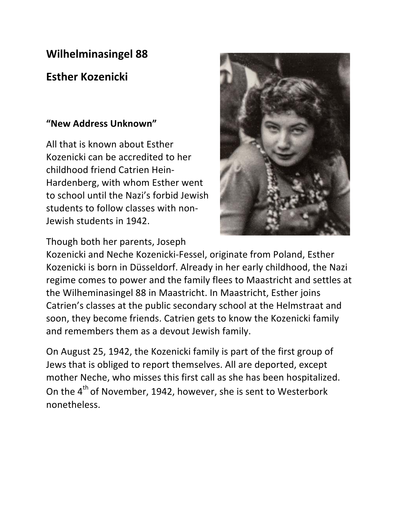## **Wilhelminasingel 88**

## **Esther Kozenicki**

## **"New Address Unknown"**

All that is known about Esther Kozenicki can be accredited to her childhood friend Catrien Hein-Hardenberg, with whom Esther went to school until the Nazi's forbid Jewish students to follow classes with non-Jewish students in 1942.



Though both her parents, Joseph

Kozenicki and Neche Kozenicki-Fessel, originate from Poland, Esther Kozenicki is born in Düsseldorf. Already in her early childhood, the Nazi regime comes to power and the family flees to Maastricht and settles at the Wilheminasingel 88 in Maastricht. In Maastricht, Esther joins Catrien's classes at the public secondary school at the Helmstraat and soon, they become friends. Catrien gets to know the Kozenicki family and remembers them as a devout Jewish family.

On August 25, 1942, the Kozenicki family is part of the first group of Jews that is obliged to report themselves. All are deported, except mother Neche, who misses this first call as she has been hospitalized. On the  $4^{th}$  of November, 1942, however, she is sent to Westerbork nonetheless.